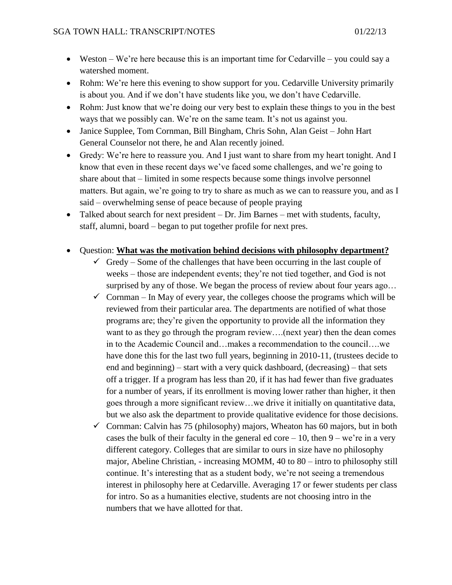- Weston We're here because this is an important time for Cedarville you could say a watershed moment.
- Rohm: We're here this evening to show support for you. Cedarville University primarily is about you. And if we don't have students like you, we don't have Cedarville.
- Rohm: Just know that we're doing our very best to explain these things to you in the best ways that we possibly can. We're on the same team. It's not us against you.
- Janice Supplee, Tom Cornman, Bill Bingham, Chris Sohn, Alan Geist John Hart General Counselor not there, he and Alan recently joined.
- Gredy: We're here to reassure you. And I just want to share from my heart tonight. And I know that even in these recent days we've faced some challenges, and we're going to share about that – limited in some respects because some things involve personnel matters. But again, we're going to try to share as much as we can to reassure you, and as I said – overwhelming sense of peace because of people praying
- Talked about search for next president Dr. Jim Barnes met with students, faculty, staff, alumni, board – began to put together profile for next pres.
- Question: **What was the motivation behind decisions with philosophy department?**
	- $\checkmark$  Gredy Some of the challenges that have been occurring in the last couple of weeks – those are independent events; they're not tied together, and God is not surprised by any of those. We began the process of review about four years ago...
	- $\checkmark$  Cornman In May of every year, the colleges choose the programs which will be reviewed from their particular area. The departments are notified of what those programs are; they're given the opportunity to provide all the information they want to as they go through the program review….(next year) then the dean comes in to the Academic Council and…makes a recommendation to the council….we have done this for the last two full years, beginning in 2010-11, (trustees decide to end and beginning) – start with a very quick dashboard, (decreasing) – that sets off a trigger. If a program has less than 20, if it has had fewer than five graduates for a number of years, if its enrollment is moving lower rather than higher, it then goes through a more significant review…we drive it initially on quantitative data, but we also ask the department to provide qualitative evidence for those decisions.
	- $\checkmark$  Cornman: Calvin has 75 (philosophy) majors, Wheaton has 60 majors, but in both cases the bulk of their faculty in the general ed core  $-10$ , then  $9 - we're$  in a very different category. Colleges that are similar to ours in size have no philosophy major, Abeline Christian, - increasing MOMM, 40 to 80 – intro to philosophy still continue. It's interesting that as a student body, we're not seeing a tremendous interest in philosophy here at Cedarville. Averaging 17 or fewer students per class for intro. So as a humanities elective, students are not choosing intro in the numbers that we have allotted for that.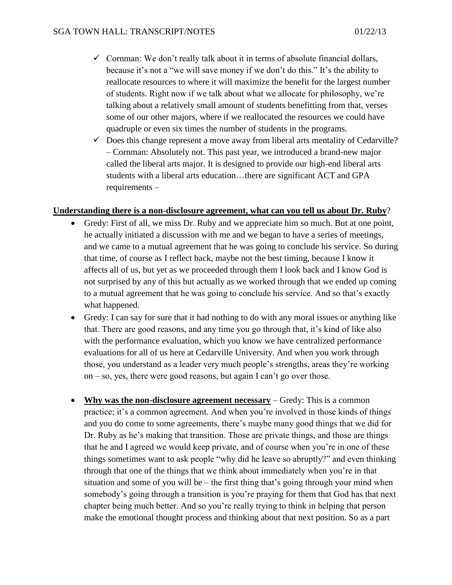- $\checkmark$  Cornman: We don't really talk about it in terms of absolute financial dollars, because it's not a "we will save money if we don't do this." It's the ability to reallocate resources to where it will maximize the benefit for the largest number of students. Right now if we talk about what we allocate for philosophy, we're talking about a relatively small amount of students benefitting from that, verses some of our other majors, where if we reallocated the resources we could have quadruple or even six times the number of students in the programs.
- $\checkmark$  Does this change represent a move away from liberal arts mentality of Cedarville? – Cornman: Absolutely not. This past year, we introduced a brand-new major called the liberal arts major. It is designed to provide our high-end liberal arts students with a liberal arts education…there are significant ACT and GPA requirements –

#### **Understanding there is a non-disclosure agreement, what can you tell us about Dr. Ruby**?

- Gredy: First of all, we miss Dr. Ruby and we appreciate him so much. But at one point, he actually initiated a discussion with me and we began to have a series of meetings, and we came to a mutual agreement that he was going to conclude his service. So during that time, of course as I reflect back, maybe not the best timing, because I know it affects all of us, but yet as we proceeded through them I look back and I know God is not surprised by any of this but actually as we worked through that we ended up coming to a mutual agreement that he was going to conclude his service. And so that's exactly what happened.
- Gredy: I can say for sure that it had nothing to do with any moral issues or anything like that. There are good reasons, and any time you go through that, it's kind of like also with the performance evaluation, which you know we have centralized performance evaluations for all of us here at Cedarville University. And when you work through those, you understand as a leader very much people's strengths, areas they're working on – so, yes, there were good reasons, but again I can't go over those.
- **Why was the non-disclosure agreement necessary** Gredy: This is a common practice; it's a common agreement. And when you're involved in those kinds of things and you do come to some agreements, there's maybe many good things that we did for Dr. Ruby as he's making that transition. Those are private things, and those are things that he and I agreed we would keep private, and of course when you're in one of these things sometimes want to ask people "why did he leave so abruptly?" and even thinking through that one of the things that we think about immediately when you're in that situation and some of you will be – the first thing that's going through your mind when somebody's going through a transition is you're praying for them that God has that next chapter being much better. And so you're really trying to think in helping that person make the emotional thought process and thinking about that next position. So as a part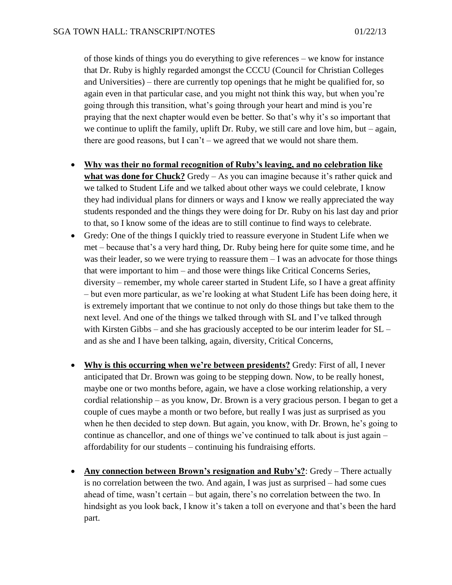of those kinds of things you do everything to give references – we know for instance that Dr. Ruby is highly regarded amongst the CCCU (Council for Christian Colleges and Universities) – there are currently top openings that he might be qualified for, so again even in that particular case, and you might not think this way, but when you're going through this transition, what's going through your heart and mind is you're praying that the next chapter would even be better. So that's why it's so important that we continue to uplift the family, uplift Dr. Ruby, we still care and love him, but – again, there are good reasons, but I can't – we agreed that we would not share them.

- **Why was their no formal recognition of Ruby's leaving, and no celebration like what was done for Chuck?** Gredy – As you can imagine because it's rather quick and we talked to Student Life and we talked about other ways we could celebrate, I know they had individual plans for dinners or ways and I know we really appreciated the way students responded and the things they were doing for Dr. Ruby on his last day and prior to that, so I know some of the ideas are to still continue to find ways to celebrate.
- Gredy: One of the things I quickly tried to reassure everyone in Student Life when we met – because that's a very hard thing, Dr. Ruby being here for quite some time, and he was their leader, so we were trying to reassure them  $-I$  was an advocate for those things that were important to him – and those were things like Critical Concerns Series, diversity – remember, my whole career started in Student Life, so I have a great affinity – but even more particular, as we're looking at what Student Life has been doing here, it is extremely important that we continue to not only do those things but take them to the next level. And one of the things we talked through with SL and I've talked through with Kirsten Gibbs – and she has graciously accepted to be our interim leader for SL – and as she and I have been talking, again, diversity, Critical Concerns,
- **Why is this occurring when we're between presidents?** Gredy: First of all, I never anticipated that Dr. Brown was going to be stepping down. Now, to be really honest, maybe one or two months before, again, we have a close working relationship, a very cordial relationship – as you know, Dr. Brown is a very gracious person. I began to get a couple of cues maybe a month or two before, but really I was just as surprised as you when he then decided to step down. But again, you know, with Dr. Brown, he's going to continue as chancellor, and one of things we've continued to talk about is just again – affordability for our students – continuing his fundraising efforts.
- **Any connection between Brown's resignation and Ruby's?**: Gredy There actually is no correlation between the two. And again, I was just as surprised – had some cues ahead of time, wasn't certain – but again, there's no correlation between the two. In hindsight as you look back, I know it's taken a toll on everyone and that's been the hard part.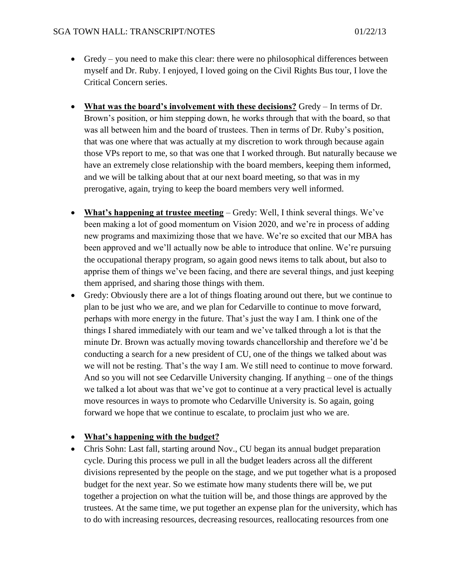- Gredy you need to make this clear: there were no philosophical differences between myself and Dr. Ruby. I enjoyed, I loved going on the Civil Rights Bus tour, I love the Critical Concern series.
- **What was the board's involvement with these decisions?** Gredy In terms of Dr. Brown's position, or him stepping down, he works through that with the board, so that was all between him and the board of trustees. Then in terms of Dr. Ruby's position, that was one where that was actually at my discretion to work through because again those VPs report to me, so that was one that I worked through. But naturally because we have an extremely close relationship with the board members, keeping them informed, and we will be talking about that at our next board meeting, so that was in my prerogative, again, trying to keep the board members very well informed.
- **What's happening at trustee meeting** Gredy: Well, I think several things. We've been making a lot of good momentum on Vision 2020, and we're in process of adding new programs and maximizing those that we have. We're so excited that our MBA has been approved and we'll actually now be able to introduce that online. We're pursuing the occupational therapy program, so again good news items to talk about, but also to apprise them of things we've been facing, and there are several things, and just keeping them apprised, and sharing those things with them.
- Gredy: Obviously there are a lot of things floating around out there, but we continue to plan to be just who we are, and we plan for Cedarville to continue to move forward, perhaps with more energy in the future. That's just the way I am. I think one of the things I shared immediately with our team and we've talked through a lot is that the minute Dr. Brown was actually moving towards chancellorship and therefore we'd be conducting a search for a new president of CU, one of the things we talked about was we will not be resting. That's the way I am. We still need to continue to move forward. And so you will not see Cedarville University changing. If anything – one of the things we talked a lot about was that we've got to continue at a very practical level is actually move resources in ways to promote who Cedarville University is. So again, going forward we hope that we continue to escalate, to proclaim just who we are.

### **What's happening with the budget?**

 Chris Sohn: Last fall, starting around Nov., CU began its annual budget preparation cycle. During this process we pull in all the budget leaders across all the different divisions represented by the people on the stage, and we put together what is a proposed budget for the next year. So we estimate how many students there will be, we put together a projection on what the tuition will be, and those things are approved by the trustees. At the same time, we put together an expense plan for the university, which has to do with increasing resources, decreasing resources, reallocating resources from one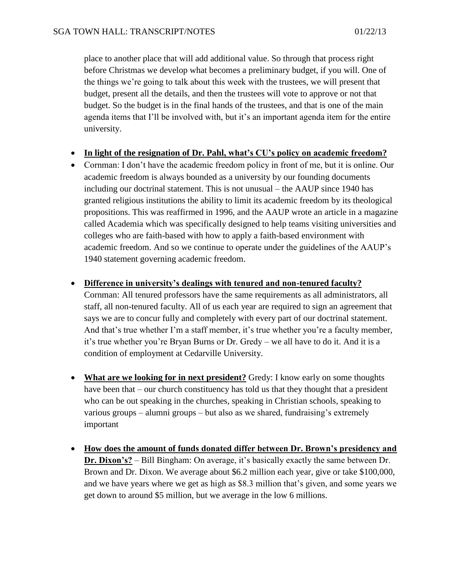place to another place that will add additional value. So through that process right before Christmas we develop what becomes a preliminary budget, if you will. One of the things we're going to talk about this week with the trustees, we will present that budget, present all the details, and then the trustees will vote to approve or not that budget. So the budget is in the final hands of the trustees, and that is one of the main agenda items that I'll be involved with, but it's an important agenda item for the entire university.

#### **In light of the resignation of Dr. Pahl, what's CU's policy on academic freedom?**

 Cornman: I don't have the academic freedom policy in front of me, but it is online. Our academic freedom is always bounded as a university by our founding documents including our doctrinal statement. This is not unusual – the AAUP since 1940 has granted religious institutions the ability to limit its academic freedom by its theological propositions. This was reaffirmed in 1996, and the AAUP wrote an article in a magazine called Academia which was specifically designed to help teams visiting universities and colleges who are faith-based with how to apply a faith-based environment with academic freedom. And so we continue to operate under the guidelines of the AAUP's 1940 statement governing academic freedom.

#### **Difference in university's dealings with tenured and non-tenured faculty?**

Cornman: All tenured professors have the same requirements as all administrators, all staff, all non-tenured faculty. All of us each year are required to sign an agreement that says we are to concur fully and completely with every part of our doctrinal statement. And that's true whether I'm a staff member, it's true whether you're a faculty member, it's true whether you're Bryan Burns or Dr. Gredy – we all have to do it. And it is a condition of employment at Cedarville University.

- **What are we looking for in next president?** Gredy: I know early on some thoughts have been that – our church constituency has told us that they thought that a president who can be out speaking in the churches, speaking in Christian schools, speaking to various groups – alumni groups – but also as we shared, fundraising's extremely important
- **How does the amount of funds donated differ between Dr. Brown's presidency and Dr. Dixon's?** – Bill Bingham: On average, it's basically exactly the same between Dr. Brown and Dr. Dixon. We average about \$6.2 million each year, give or take \$100,000, and we have years where we get as high as \$8.3 million that's given, and some years we get down to around \$5 million, but we average in the low 6 millions.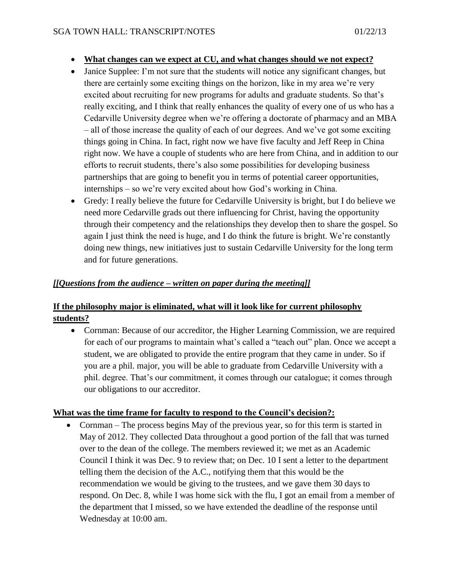- **What changes can we expect at CU, and what changes should we not expect?**
- Janice Supplee: I'm not sure that the students will notice any significant changes, but there are certainly some exciting things on the horizon, like in my area we're very excited about recruiting for new programs for adults and graduate students. So that's really exciting, and I think that really enhances the quality of every one of us who has a Cedarville University degree when we're offering a doctorate of pharmacy and an MBA – all of those increase the quality of each of our degrees. And we've got some exciting things going in China. In fact, right now we have five faculty and Jeff Reep in China right now. We have a couple of students who are here from China, and in addition to our efforts to recruit students, there's also some possibilities for developing business partnerships that are going to benefit you in terms of potential career opportunities, internships – so we're very excited about how God's working in China.
- Gredy: I really believe the future for Cedarville University is bright, but I do believe we need more Cedarville grads out there influencing for Christ, having the opportunity through their competency and the relationships they develop then to share the gospel. So again I just think the need is huge, and I do think the future is bright. We're constantly doing new things, new initiatives just to sustain Cedarville University for the long term and for future generations.

### *[[Questions from the audience – written on paper during the meeting]]*

## **If the philosophy major is eliminated, what will it look like for current philosophy students?**

 Cornman: Because of our accreditor, the Higher Learning Commission, we are required for each of our programs to maintain what's called a "teach out" plan. Once we accept a student, we are obligated to provide the entire program that they came in under. So if you are a phil. major, you will be able to graduate from Cedarville University with a phil. degree. That's our commitment, it comes through our catalogue; it comes through our obligations to our accreditor.

### **What was the time frame for faculty to respond to the Council's decision?:**

• Cornman – The process begins May of the previous year, so for this term is started in May of 2012. They collected Data throughout a good portion of the fall that was turned over to the dean of the college. The members reviewed it; we met as an Academic Council I think it was Dec. 9 to review that; on Dec. 10 I sent a letter to the department telling them the decision of the A.C., notifying them that this would be the recommendation we would be giving to the trustees, and we gave them 30 days to respond. On Dec. 8, while I was home sick with the flu, I got an email from a member of the department that I missed, so we have extended the deadline of the response until Wednesday at 10:00 am.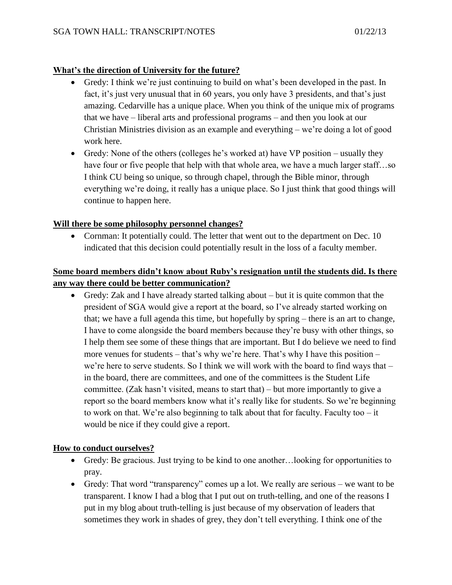### **What's the direction of University for the future?**

- Gredy: I think we're just continuing to build on what's been developed in the past. In fact, it's just very unusual that in 60 years, you only have 3 presidents, and that's just amazing. Cedarville has a unique place. When you think of the unique mix of programs that we have – liberal arts and professional programs – and then you look at our Christian Ministries division as an example and everything – we're doing a lot of good work here.
- Gredy: None of the others (colleges he's worked at) have VP position usually they have four or five people that help with that whole area, we have a much larger staff...so I think CU being so unique, so through chapel, through the Bible minor, through everything we're doing, it really has a unique place. So I just think that good things will continue to happen here.

### **Will there be some philosophy personnel changes?**

• Cornman: It potentially could. The letter that went out to the department on Dec. 10 indicated that this decision could potentially result in the loss of a faculty member.

# **Some board members didn't know about Ruby's resignation until the students did. Is there any way there could be better communication?**

 Gredy: Zak and I have already started talking about – but it is quite common that the president of SGA would give a report at the board, so I've already started working on that; we have a full agenda this time, but hopefully by spring – there is an art to change, I have to come alongside the board members because they're busy with other things, so I help them see some of these things that are important. But I do believe we need to find more venues for students – that's why we're here. That's why I have this position – we're here to serve students. So I think we will work with the board to find ways that – in the board, there are committees, and one of the committees is the Student Life committee. (Zak hasn't visited, means to start that) – but more importantly to give a report so the board members know what it's really like for students. So we're beginning to work on that. We're also beginning to talk about that for faculty. Faculty too – it would be nice if they could give a report.

### **How to conduct ourselves?**

- Gredy: Be gracious. Just trying to be kind to one another…looking for opportunities to pray.
- Gredy: That word "transparency" comes up a lot. We really are serious we want to be transparent. I know I had a blog that I put out on truth-telling, and one of the reasons I put in my blog about truth-telling is just because of my observation of leaders that sometimes they work in shades of grey, they don't tell everything. I think one of the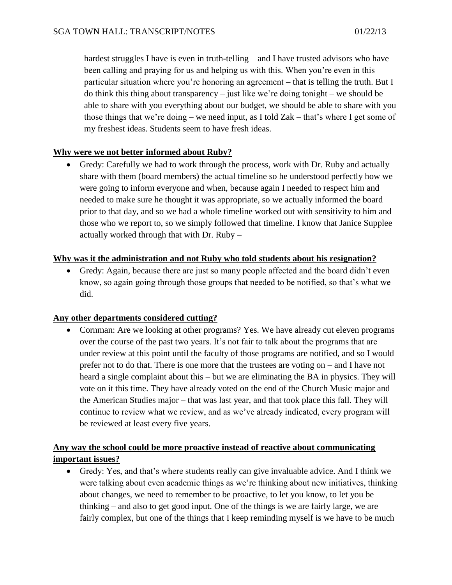hardest struggles I have is even in truth-telling – and I have trusted advisors who have been calling and praying for us and helping us with this. When you're even in this particular situation where you're honoring an agreement – that is telling the truth. But I do think this thing about transparency – just like we're doing tonight – we should be able to share with you everything about our budget, we should be able to share with you those things that we're doing – we need input, as I told Zak – that's where I get some of my freshest ideas. Students seem to have fresh ideas.

### **Why were we not better informed about Ruby?**

 Gredy: Carefully we had to work through the process, work with Dr. Ruby and actually share with them (board members) the actual timeline so he understood perfectly how we were going to inform everyone and when, because again I needed to respect him and needed to make sure he thought it was appropriate, so we actually informed the board prior to that day, and so we had a whole timeline worked out with sensitivity to him and those who we report to, so we simply followed that timeline. I know that Janice Supplee actually worked through that with Dr. Ruby –

### **Why was it the administration and not Ruby who told students about his resignation?**

 Gredy: Again, because there are just so many people affected and the board didn't even know, so again going through those groups that needed to be notified, so that's what we did.

### **Any other departments considered cutting?**

 Cornman: Are we looking at other programs? Yes. We have already cut eleven programs over the course of the past two years. It's not fair to talk about the programs that are under review at this point until the faculty of those programs are notified, and so I would prefer not to do that. There is one more that the trustees are voting on – and I have not heard a single complaint about this – but we are eliminating the BA in physics. They will vote on it this time. They have already voted on the end of the Church Music major and the American Studies major – that was last year, and that took place this fall. They will continue to review what we review, and as we've already indicated, every program will be reviewed at least every five years.

# **Any way the school could be more proactive instead of reactive about communicating important issues?**

 Gredy: Yes, and that's where students really can give invaluable advice. And I think we were talking about even academic things as we're thinking about new initiatives, thinking about changes, we need to remember to be proactive, to let you know, to let you be thinking – and also to get good input. One of the things is we are fairly large, we are fairly complex, but one of the things that I keep reminding myself is we have to be much